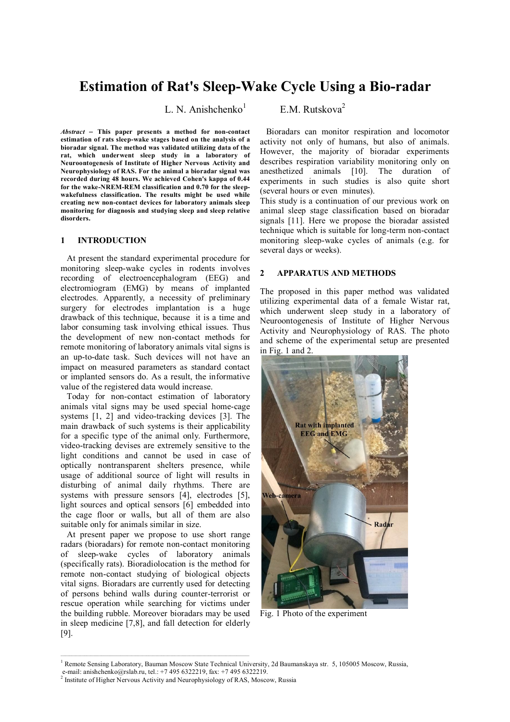# **Estimation of Rat's Sleep-Wake Cycle Using a Bio-radar**

L. N. Anishchenko $<sup>1</sup>$ </sup>

*Abstract* **This paper presents a method for non-contact estimation of rats sleep-wake stages based on the analysis of a bioradar signal. The method was validated utilizing data of the rat, which underwent sleep study in a laboratory of Neuroontogenesis of Institute of Higher Nervous Activity and Neurophysiology of RAS. For the animal a bioradar signal was recorded during 48 hours. We achieved Cohen's kappa of 0.44 for the wake-NREM-REM classification and 0.70 for the sleepwakefulness classification. The results might be used while creating new non-contact devices for laboratory animals sleep monitoring for diagnosis and studying sleep and sleep relative disorders.** 

### **1 INTRODUCTION**

At present the standard experimental procedure for monitoring sleep-wake cycles in rodents involves recording of electroencephalogram (EEG) and electromiogram (EMG) by means of implanted electrodes. Apparently, a necessity of preliminary surgery for electrodes implantation is a huge drawback of this technique, because it is a time and labor consuming task involving ethical issues. Thus the development of new non-contact methods for remote monitoring of laboratory animals vital signs is an up-to-date task. Such devices will not have an impact on measured parameters as standard contact or implanted sensors do. As a result, the informative value of the registered data would increase.

Today for non-contact estimation of laboratory animals vital signs may be used special home-cage systems [1, 2] and video-tracking devices [3]. The main drawback of such systems is their applicability for a specific type of the animal only. Furthermore, video-tracking devises are extremely sensitive to the light conditions and cannot be used in case of optically nontransparent shelters presence, while usage of additional source of light will results in disturbing of animal daily rhythms. There are systems with pressure sensors [4], electrodes [5], light sources and optical sensors [6] embedded into the cage floor or walls, but all of them are also suitable only for animals similar in size.

At present paper we propose to use short range radars (bioradars) for remote non-contact monitoring of sleep-wake cycles of laboratory animals (specifically rats). Bioradiolocation is the method for remote non-contact studying of biological objects vital signs. Bioradars are currently used for detecting of persons behind walls during counter-terrorist or rescue operation while searching for victims under the building rubble. Moreover bioradars may be used in sleep medicine [7,8], and fall detection for elderly [9].

 $\mathcal{L}_\text{max}$ 

E.M. Rutskova<sup>2</sup>

Bioradars can monitor respiration and locomotor activity not only of humans, but also of animals. However, the majority of bioradar experiments describes respiration variability monitoring only on anesthetized animals [10]. The duration of experiments in such studies is also quite short (several hours or even minutes).

This study is a continuation of our previous work on animal sleep stage classification based on bioradar signals [11]. Here we propose the bioradar assisted technique which is suitable for long-term non-contact monitoring sleep-wake cycles of animals (e.g. for several days or weeks).

### **2 APPARATUS AND METHODS**

The proposed in this paper method was validated utilizing experimental data of a female Wistar rat, which underwent sleep study in a laboratory of Neuroontogenesis of Institute of Higher Nervous Activity and Neurophysiology of RAS. The photo and scheme of the experimental setup are presented in Fig. 1 and 2.



Fig. 1 Photo of the experiment

<sup>&</sup>lt;sup>1</sup> Remote Sensing Laboratory, Bauman Moscow State Technical University, 2d Baumanskaya str. 5, 105005 Moscow, Russia,

e-mail: anishchenko@rslab.ru, tel.: +7 495 6322219, fax: +7 495 6322219.

<sup>&</sup>lt;sup>2</sup> Institute of Higher Nervous Activity and Neurophysiology of RAS, Moscow, Russia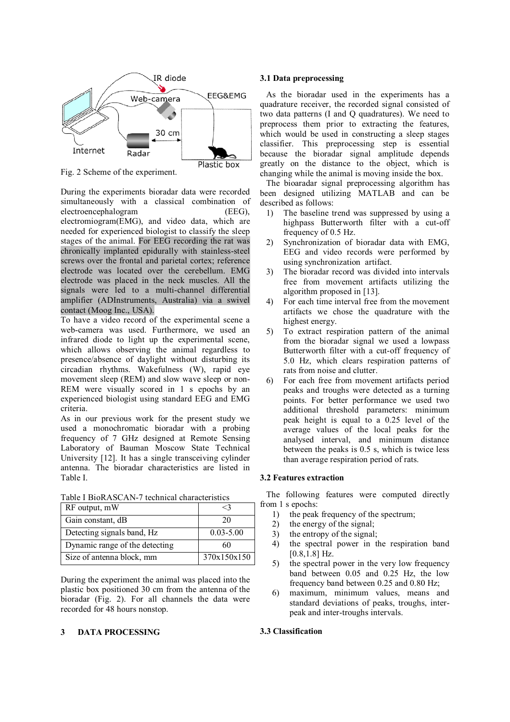

Fig. 2 Scheme of the experiment.

Plastic box

During the experiments bioradar data were recorded simultaneously with a classical combination of electroencephalogram (EEG), electromiogram(EMG), and video data, which are needed for experienced biologist to classify the sleep stages of the animal. For EEG recording the rat was chronically implanted epidurally with stainless-steel screws over the frontal and parietal cortex; reference electrode was located over the cerebellum. EMG electrode was placed in the neck muscles. All the signals were led to a multi-channel differential amplifier (ADInstruments, Australia) via a swivel contact (Moog Inc., USA).

To have a video record of the experimental scene a web-camera was used. Furthermore, we used an infrared diode to light up the experimental scene, which allows observing the animal regardless to presence/absence of daylight without disturbing its circadian rhythms. Wakefulness (W), rapid eye movement sleep (REM) and slow wave sleep or non-REM were visually scored in 1 s epochs by an experienced biologist using standard EEG and EMG criteria.

As in our previous work for the present study we used a monochromatic bioradar with a probing frequency of 7 GHz designed at Remote Sensing Laboratory of Bauman Moscow State Technical University [12]. It has a single transceiving cylinder antenna. The bioradar characteristics are listed in Table I.

| RF output, mW                  | ?>            |  |  |
|--------------------------------|---------------|--|--|
| Gain constant, dB              | 20            |  |  |
| Detecting signals band, Hz     | $0.03 - 5.00$ |  |  |
| Dynamic range of the detecting | 60            |  |  |
| Size of antenna block, mm      | 370x150x150   |  |  |

#### Table I BioRASCAN-7 technical characteristics

During the experiment the animal was placed into the plastic box positioned 30 cm from the antenna of the bioradar (Fig. 2). For all channels the data were recorded for 48 hours nonstop.

# **3 DATA PROCESSING**

### **3.1 Data preprocessing**

As the bioradar used in the experiments has a quadrature receiver, the recorded signal consisted of two data patterns (I and Q quadratures). We need to preprocess them prior to extracting the features, which would be used in constructing a sleep stages classifier. This preprocessing step is essential because the bioradar signal amplitude depends greatly on the distance to the object, which is changing while the animal is moving inside the box.

The bioaradar signal preprocessing algorithm has been designed utilizing MATLAB and can be described as follows:

- 1) The baseline trend was suppressed by using a highpass Butterworth filter with a cut-off frequency of 0.5 Hz.
- 2) Synchronization of bioradar data with EMG, EEG and video records were performed by using synchronization artifact.
- 3) The bioradar record was divided into intervals free from movement artifacts utilizing the algorithm proposed in [13].
- 4) For each time interval free from the movement artifacts we chose the quadrature with the highest energy.
- 5) To extract respiration pattern of the animal from the bioradar signal we used a lowpass Butterworth filter with a cut-off frequency of 5.0 Hz, which clears respiration patterns of rats from noise and clutter.
- 6) For each free from movement artifacts period peaks and troughs were detected as a turning points. For better performance we used two additional threshold parameters: minimum peak height is equal to a 0.25 level of the average values of the local peaks for the analysed interval, and minimum distance between the peaks is 0.5 s, which is twice less than average respiration period of rats.

# **3.2 Features extraction**

The following features were computed directly from 1 s epochs:

- 1) the peak frequency of the spectrum;
- 2) the energy of the signal;
- 3) the entropy of the signal;
- 4) the spectral power in the respiration band [0.8,1.8] Hz.
- 5) the spectral power in the very low frequency band between 0.05 and 0.25 Hz, the low frequency band between 0.25 and 0.80 Hz;
- 6) maximum, minimum values, means and standard deviations of peaks, troughs, interpeak and inter-troughs intervals.

# **3.3 Classification**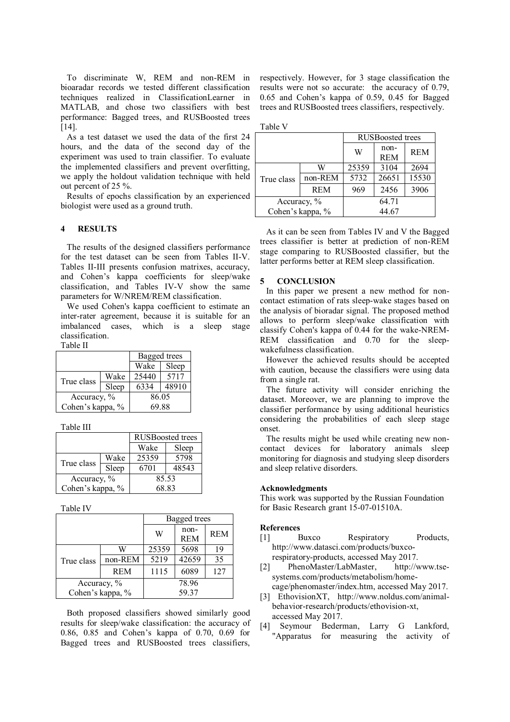To discriminate W, REM and non-REM in bioaradar records we tested different classification techniques realized in ClassificationLearner in MATLAB, and chose two classifiers with best performance: Bagged trees, and RUSBoosted trees [14].

As a test dataset we used the data of the first 24 hours, and the data of the second day of the experiment was used to train classifier. To evaluate the implemented classifiers and prevent overfitting, we apply the holdout validation technique with held out percent of 25 %.

Results of epochs classification by an experienced biologist were used as a ground truth.

### **4 RESULTS**

The results of the designed classifiers performance for the test dataset can be seen from Tables II-V. Tables II-III presents confusion matrixes, accuracy, and Cohen's kappa coefficients for sleep/wake classification, and Tables IV-V show the same parameters for W/NREM/REM classification.

We used Cohen's kappa coefficient to estimate an inter-rater agreement, because it is suitable for an imbalanced cases, which is a sleep stage classification. Table II

| 1 UUIV 11        |       |              |       |  |
|------------------|-------|--------------|-------|--|
|                  |       | Bagged trees |       |  |
|                  |       | Wake         | Sleep |  |
| True class       | Wake  | 25440        | 5717  |  |
|                  | Sleep | 6334         | 48910 |  |
| Accuracy, %      |       | 86.05        |       |  |
| Cohen's kappa, % |       | 69.88        |       |  |

Table III

|                  |       | <b>RUSBoosted</b> trees |       |  |
|------------------|-------|-------------------------|-------|--|
|                  |       | Wake                    | Sleep |  |
| True class       | Wake  | 25359                   | 5798  |  |
|                  | Sleep | 6701                    | 48543 |  |
| Accuracy, %      |       | 85.53                   |       |  |
| Cohen's kappa, % |       | 68.83                   |       |  |

Table IV

|                  |            | Bagged trees |            |            |
|------------------|------------|--------------|------------|------------|
|                  |            | W            | non-       | <b>REM</b> |
|                  |            |              | <b>REM</b> |            |
| True class       | W          | 25359        | 5698       | 19         |
|                  | non-REM    | 5219         | 42659      | 35         |
|                  | <b>REM</b> | 1115         | 6089       | 127        |
| Accuracy, %      |            | 78.96        |            |            |
| Cohen's kappa, % |            |              | 59.37      |            |

Both proposed classifiers showed similarly good results for sleep/wake classification: the accuracy of 0.86, 0.85 and Cohen's kappa of 0.70, 0.69 for Bagged trees and RUSBoosted trees classifiers,

respectively. However, for 3 stage classification the results were not so accurate: the accuracy of 0.79, 0.65 and Cohen's kappa of 0.59, 0.45 for Bagged trees and RUSBoosted trees classifiers, respectively.

| װ<br>ı.<br>w |  |
|--------------|--|
|--------------|--|

|                  |            | <b>RUSBoosted trees</b> |                    |            |
|------------------|------------|-------------------------|--------------------|------------|
|                  |            | W                       | non-<br><b>REM</b> | <b>REM</b> |
| True class       | W          | 25359                   | 3104               | 2694       |
|                  | non-REM    | 5732                    | 26651              | 15530      |
|                  | <b>REM</b> | 969                     | 2456               | 3906       |
| Accuracy, %      |            | 64.71                   |                    |            |
| Cohen's kappa, % |            | 44.67                   |                    |            |

As it can be seen from Tables IV and V the Bagged trees classifier is better at prediction of non-REM stage comparing to RUSBoosted classifier, but the latter performs better at REM sleep classification.

#### **5 CONCLUSION**

In this paper we present a new method for noncontact estimation of rats sleep-wake stages based on the analysis of bioradar signal. The proposed method allows to perform sleep/wake classification with classify Cohen's kappa of 0.44 for the wake-NREM-REM classification and 0.70 for the sleepwakefulness classification.

However the achieved results should be accepted with caution, because the classifiers were using data from a single rat.

The future activity will consider enriching the dataset. Moreover, we are planning to improve the classifier performance by using additional heuristics considering the probabilities of each sleep stage onset.

The results might be used while creating new noncontact devices for laboratory animals sleep monitoring for diagnosis and studying sleep disorders and sleep relative disorders.

#### **Acknowledgments**

This work was supported by the Russian Foundation for Basic Research grant 15-07-01510A.

#### **References**

- [1] Buxco Respiratory Products, http://www.datasci.com/products/buxcorespiratory-products, accessed May 2017.
- [2] PhenoMaster/LabMaster, http://www.tsesystems.com/products/metabolism/home-
- cage/phenomaster/index.htm, accessed May 2017. [3] EthovisionXT, http://www.noldus.com/animalbehavior-research/products/ethovision-xt, accessed May 2017.
- [4] Seymour Bederman, Larry G Lankford, "Apparatus for measuring the activity of